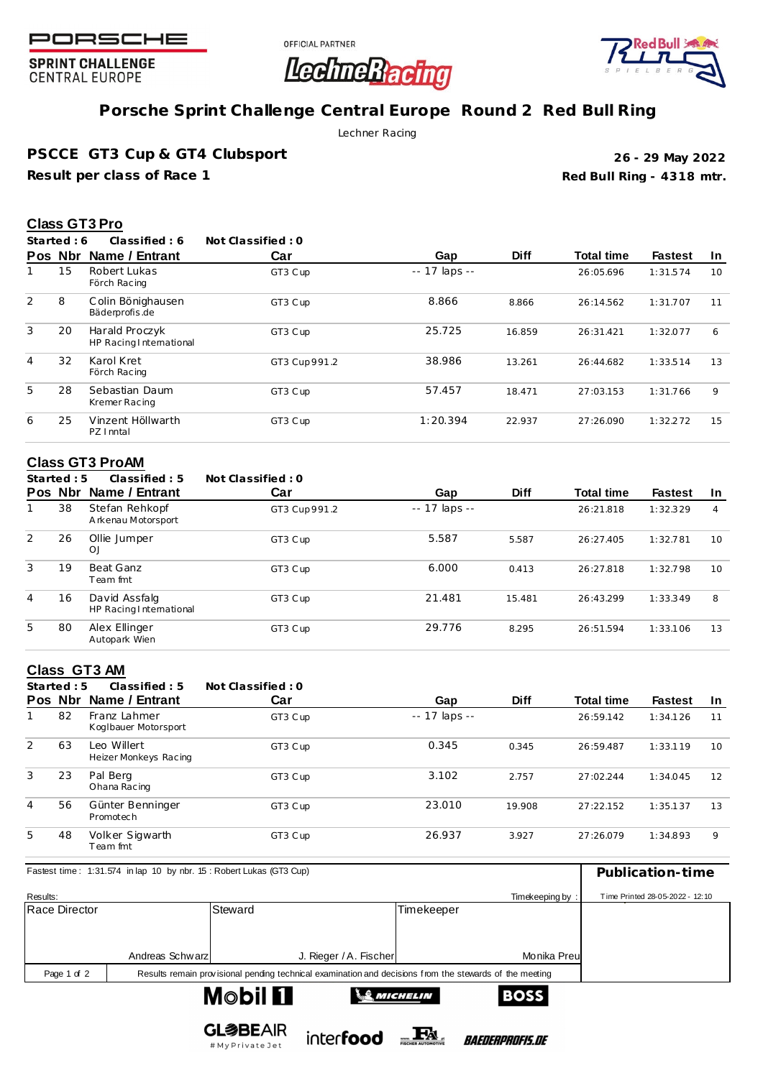

**SPRINT CHALLENGE CENTRAL EUROPE** 

OFFICIAL PARTNER



# **Porsche Sprint Challenge Central Europe Round 2 Red Bull Ring**

**LedineRacing** 

Lechner Racing

**PSCCE GT3 Cup & GT4 Clubsport**

**Result per class of Race 1**

**Red Bull Ring - 4318 mtr. 26 - 29 May 2022**

### **Class GT3 Pro**

**Started : 6 Classified : 6 Not Classified : 0**

|   | Pos Nbr | Name / Entrant                            | Car          | Gap            | <b>Diff</b> | <b>Total time</b> | <b>Fastest</b> | <b>In</b> |
|---|---------|-------------------------------------------|--------------|----------------|-------------|-------------------|----------------|-----------|
|   | 15      | Robert Lukas<br>Förch Racing              | GT3 C up     | $-17$ laps $-$ |             | 26:05.696         | 1:31.574       | 10        |
| 2 | 8       | Colin Bönighausen<br>Bäderprofis.de       | GT3 C up     | 8.866          | 8.866       | 26:14.562         | 1:31.707       | 11        |
| 3 | 20      | Harald Proczyk<br>HP Racing International | GT3 C up     | 25.725         | 16.859      | 26:31.421         | 1:32.077       | 6         |
| 4 | 32      | Karol Kret<br>Förch Racing                | GT3 Cup991.2 | 38.986         | 13.261      | 26:44.682         | 1:33.514       | 13        |
| 5 | 28      | Sebastian Daum<br>Kremer Racing           | GT3 Cup      | 57.457         | 18.471      | 27:03.153         | 1:31.766       | 9         |
| 6 | 25      | Vinzent Höllwarth<br>PZ I nntal           | GT3 C up     | 1:20.394       | 22.937      | 27:26.090         | 1:32.272       | 15        |

## **Class GT3 ProAM**

|   | Started : $5$ | Classified: 5                            | Not Classified: 0 |               |             |                   |                |                |
|---|---------------|------------------------------------------|-------------------|---------------|-------------|-------------------|----------------|----------------|
|   | Pos Nbr       | Name / Entrant                           | Car               | Gap           | <b>Diff</b> | <b>Total time</b> | <b>Fastest</b> | -In            |
|   | 38            | Stefan Rehkopf<br>Arkenau Motorsport     | GT3 Cup 991.2     | -- 17 laps -- |             | 26:21.818         | 1:32.329       | $\overline{4}$ |
| 2 | 26            | Ollie Jumper<br>OJ                       | GT3 Cup           | 5.587         | 5.587       | 26:27.405         | 1:32.781       | 10             |
| 3 | 19            | Beat Ganz<br>Team fmt                    | GT3 Cup           | 6.000         | 0.413       | 26:27.818         | 1:32.798       | 10             |
| 4 | 16            | David Assfalg<br>HP Racing International | GT3 C up          | 21.481        | 15.481      | 26:43.299         | 1:33.349       | 8              |
| 5 | 80            | Alex Ellinger<br>Autopark Wien           | GT3 Cup           | 29.776        | 8.295       | 26:51.594         | 1:33.106       | 13             |

## **Class GT3 AM**

|   | Started: $5$ | Classified: 5                        | Not Classified: 0 |                     |             |                   |                |           |
|---|--------------|--------------------------------------|-------------------|---------------------|-------------|-------------------|----------------|-----------|
|   | Pos Nbr      | Name / Entrant                       | Car               | Gap                 | <b>Diff</b> | <b>Total time</b> | <b>Fastest</b> | <b>In</b> |
|   | 82           | Franz Lahmer<br>Koglbauer Motorsport | GT3 Cup           | $- - 17$ laps $- -$ |             | 26:59.142         | 1:34.126       | 11        |
| 2 | 63           | Leo Willert<br>Heizer Monkeys Racing | GT3 Cup           | 0.345               | 0.345       | 26:59.487         | 1:33.119       | 10        |
| 3 | 23           | Pal Berg<br>Ohana Racing             | GT3 Cup           | 3.102               | 2.757       | 27:02.244         | 1:34.045       | 12        |
| 4 | 56           | Günter Benninger<br>Promotech        | GT3 Cup           | 23.010              | 19.908      | 27:22.152         | 1:35.137       | 13        |
| 5 | 48           | Volker Sigwarth<br>Team fmt          | GT3 Cup           | 26.937              | 3.927       | 27:26.079         | 1:34.893       | 9         |

| Fastest time: 1:31.574 in lap 10 by nbr. 15: Robert Lukas (GT3 Cup)         | Publication-time                |                                                                                                         |              |  |  |  |  |
|-----------------------------------------------------------------------------|---------------------------------|---------------------------------------------------------------------------------------------------------|--------------|--|--|--|--|
| Results:                                                                    | Time Printed 28-05-2022 - 12:10 |                                                                                                         |              |  |  |  |  |
| Race Director                                                               |                                 | Steward                                                                                                 | Timekeeper   |  |  |  |  |
|                                                                             |                                 |                                                                                                         |              |  |  |  |  |
|                                                                             | Andreas Schwarz                 | J. Rieger / A. Fischer                                                                                  | Monika Preul |  |  |  |  |
| Page 1 of 2                                                                 |                                 | Results remain provisional pending technical examination and decisions from the stewards of the meeting |              |  |  |  |  |
| $M_{\odot}$ hil $\Pi$<br><b>DACC</b><br>$\lambda$ $\theta$ <i>parcuring</i> |                                 |                                                                                                         |              |  |  |  |  |



# My Private Jet